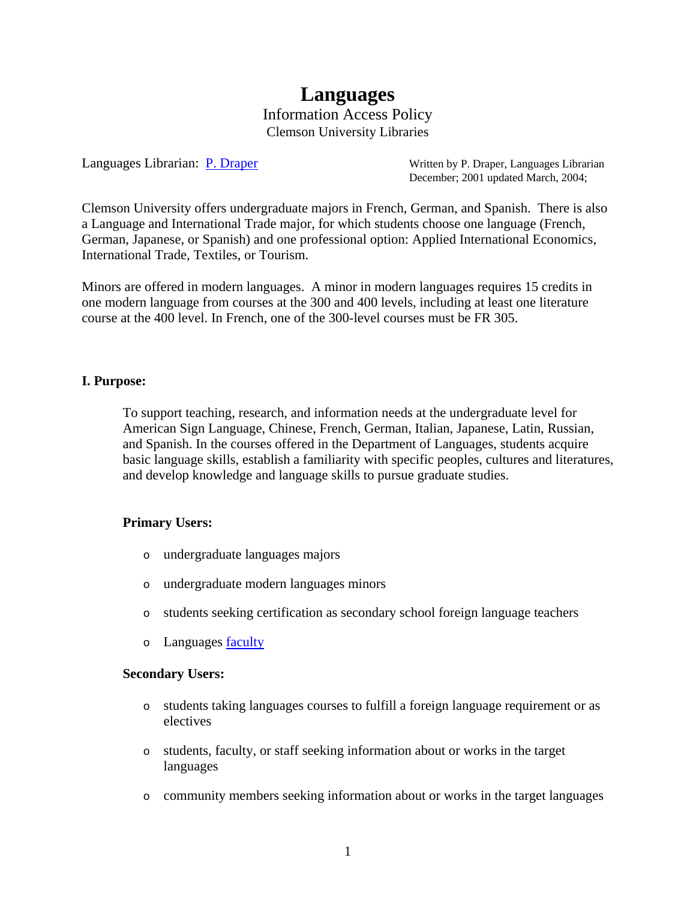# **Languages** Information Access Policy Clemson University Libraries

Languages Librarian: [P. Draper](mailto:pdraper@clemson.edu) Written by P. Draper, Languages Librarian December; 2001 updated March, 2004;

Clemson University offers undergraduate majors in French, German, and Spanish. There is also a Language and International Trade major, for which students choose one language (French, German, Japanese, or Spanish) and one professional option: Applied International Economics, International Trade, Textiles, or Tourism.

Minors are offered in modern languages. A minor in modern languages requires 15 credits in one modern language from courses at the 300 and 400 levels, including at least one literature course at the 400 level. In French, one of the 300-level courses must be FR 305.

# **I. Purpose:**

To support teaching, research, and information needs at the undergraduate level for American Sign Language, Chinese, French, German, Italian, Japanese, Latin, Russian, and Spanish. In the courses offered in the Department of Languages, students acquire basic language skills, establish a familiarity with specific peoples, cultures and literatures, and develop knowledge and language skills to pursue graduate studies.

# **Primary Users:**

- o undergraduate languages majors
- o undergraduate modern languages minors
- o students seeking certification as secondary school foreign language teachers
- o Languages <u>faculty</u>

# **Secondary Users:**

- o students taking languages courses to fulfill a foreign language requirement or as electives
- o students, faculty, or staff seeking information about or works in the target languages
- o community members seeking information about or works in the target languages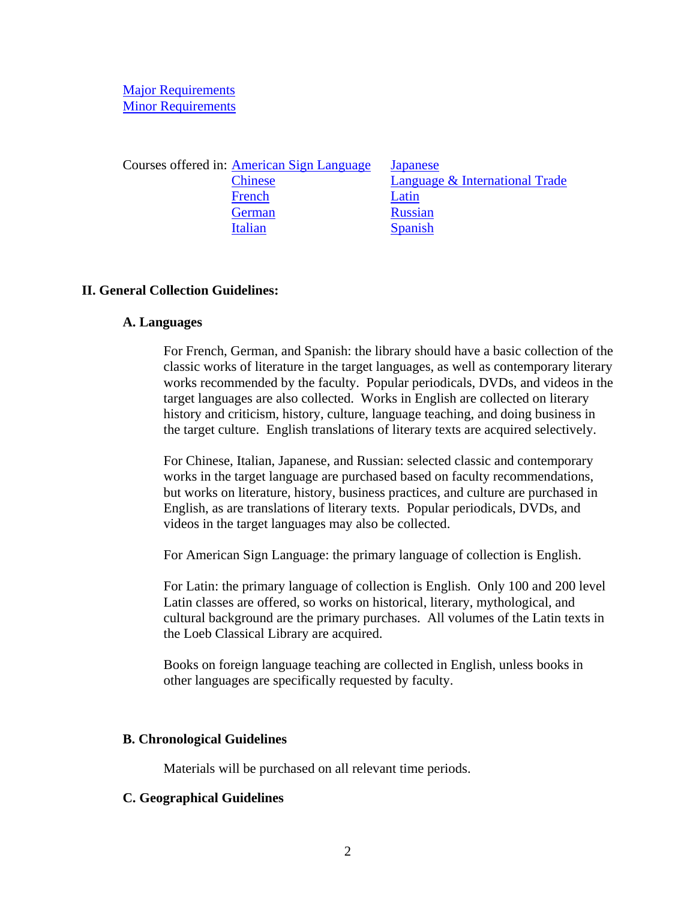# [Major Requirements](http://www.registrar.clemson.edu/publicat/catalog/2005/aah.html) [Minor Requirements](http://www.registrar.clemson.edu/publicat/catalog/2005/minors.html)

Courses offered in: [American Sign Language](http://www.registrar.clemson.edu/publicat/catalog/2005/coi/asl.html) [Japanese](http://www.registrar.clemson.edu/publicat/catalog/2005/coi/japn.html) [Chinese](http://www.registrar.clemson.edu/publicat/catalog/2005/coi/chin.html) [Language & International Trade](http://www.registrar.clemson.edu/publicat/catalog/2005/coi/l&it.html) [French](http://www.registrar.clemson.edu/publicat/catalog/2005/coi/fr.html) [Latin](http://www.registrar.clemson.edu/publicat/catalog/2005/coi/latin.html) [German](http://www.registrar.clemson.edu/publicat/catalog/2005/coi/ger.html) [Russian](http://www.registrar.clemson.edu/publicat/catalog/2005/coi/russ.html) [Italian](http://www.registrar.clemson.edu/publicat/catalog/2005/coi/ital.html) [Spanish](http://www.registrar.clemson.edu/publicat/catalog/2005/coi/span.html)

#### **II. General Collection Guidelines:**

#### **A. Languages**

For French, German, and Spanish: the library should have a basic collection of the classic works of literature in the target languages, as well as contemporary literary works recommended by the faculty. Popular periodicals, DVDs, and videos in the target languages are also collected. Works in English are collected on literary history and criticism, history, culture, language teaching, and doing business in the target culture. English translations of literary texts are acquired selectively.

For Chinese, Italian, Japanese, and Russian: selected classic and contemporary works in the target language are purchased based on faculty recommendations, but works on literature, history, business practices, and culture are purchased in English, as are translations of literary texts. Popular periodicals, DVDs, and videos in the target languages may also be collected.

For American Sign Language: the primary language of collection is English.

For Latin: the primary language of collection is English. Only 100 and 200 level Latin classes are offered, so works on historical, literary, mythological, and cultural background are the primary purchases. All volumes of the Latin texts in the Loeb Classical Library are acquired.

Books on foreign language teaching are collected in English, unless books in other languages are specifically requested by faculty.

#### **B. Chronological Guidelines**

Materials will be purchased on all relevant time periods.

# **C. Geographical Guidelines**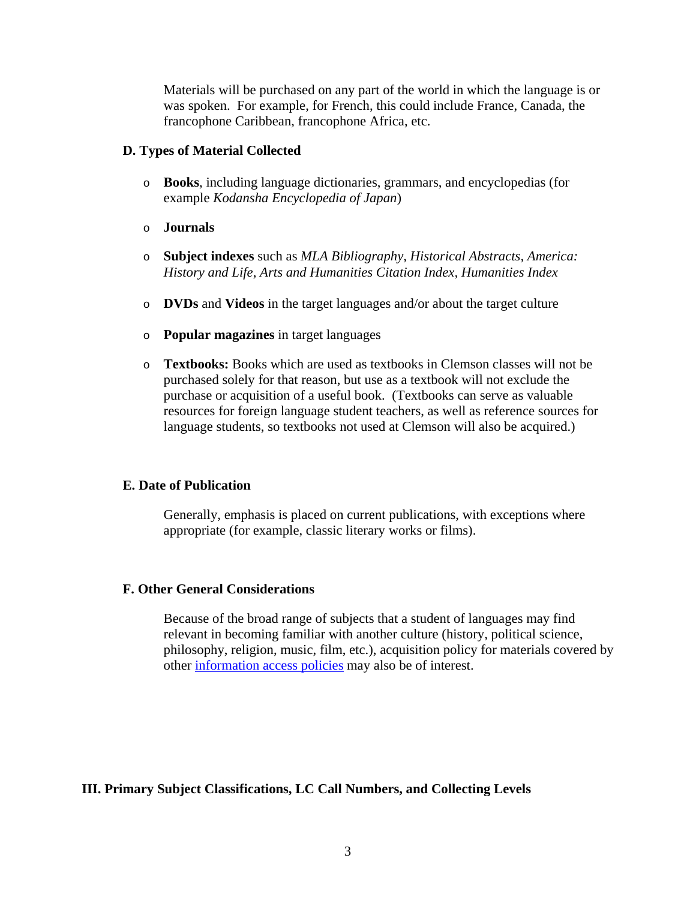Materials will be purchased on any part of the world in which the language is or was spoken. For example, for French, this could include France, Canada, the francophone Caribbean, francophone Africa, etc.

# **D. Types of Material Collected**

- o **Books**, including language dictionaries, grammars, and encyclopedias (for example *Kodansha Encyclopedia of Japan*)
- o **Journals**
- o **Subject indexes** such as *MLA Bibliography, Historical Abstracts, America: History and Life*, *Arts and Humanities Citation Index, Humanities Index*
- o **DVDs** and **Videos** in the target languages and/or about the target culture
- o **Popular magazines** in target languages
- o **Textbooks:** Books which are used as textbooks in Clemson classes will not be purchased solely for that reason, but use as a textbook will not exclude the purchase or acquisition of a useful book. (Textbooks can serve as valuable resources for foreign language student teachers, as well as reference sources for language students, so textbooks not used at Clemson will also be acquired.)

# **E. Date of Publication**

Generally, emphasis is placed on current publications, with exceptions where appropriate (for example, classic literary works or films).

# **F. Other General Considerations**

Because of the broad range of subjects that a student of languages may find relevant in becoming familiar with another culture (history, political science, philosophy, religion, music, film, etc.), acquisition policy for materials covered by other [information access policies](http://www.lib.clemson.edu/aboutlib/infoaccess/index.htm) may also be of interest.

# **III. Primary Subject Classifications, LC Call Numbers, and Collecting Levels**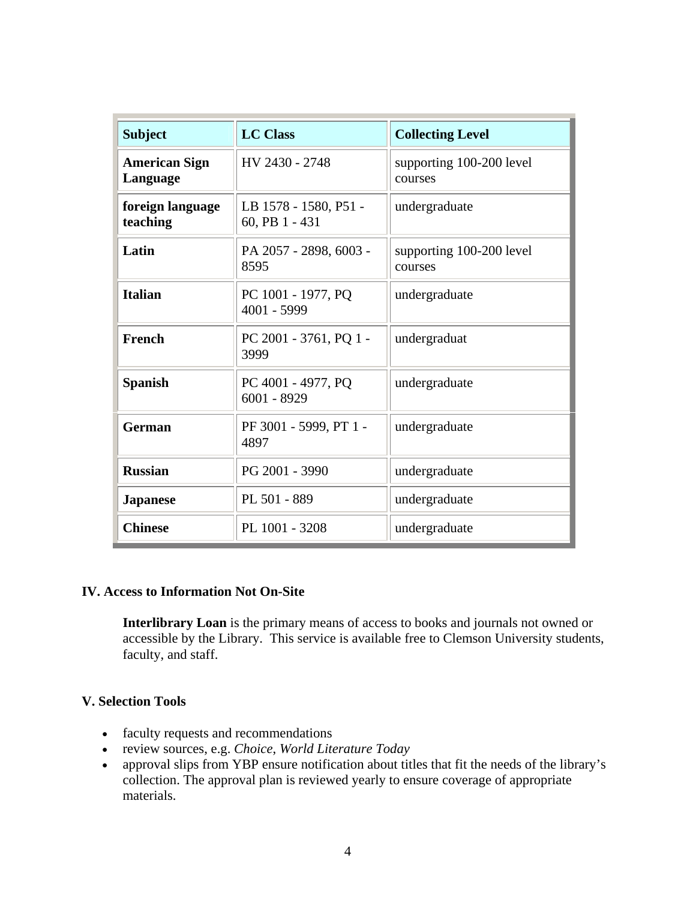| <b>Subject</b>                   | <b>LC Class</b>                         | <b>Collecting Level</b>             |
|----------------------------------|-----------------------------------------|-------------------------------------|
| <b>American Sign</b><br>Language | HV 2430 - 2748                          | supporting 100-200 level<br>courses |
| foreign language<br>teaching     | LB 1578 - 1580, P51 -<br>60, PB 1 - 431 | undergraduate                       |
| Latin                            | PA 2057 - 2898, 6003 -<br>8595          | supporting 100-200 level<br>courses |
| <b>Italian</b>                   | PC 1001 - 1977, PQ<br>4001 - 5999       | undergraduate                       |
| <b>French</b>                    | PC 2001 - 3761, PQ 1 -<br>3999          | undergraduat                        |
| <b>Spanish</b>                   | PC 4001 - 4977, PQ<br>$6001 - 8929$     | undergraduate                       |
| <b>German</b>                    | PF 3001 - 5999, PT 1 -<br>4897          | undergraduate                       |
| <b>Russian</b>                   | PG 2001 - 3990                          | undergraduate                       |
| <b>Japanese</b>                  | PL 501 - 889                            | undergraduate                       |
| <b>Chinese</b>                   | PL 1001 - 3208                          | undergraduate                       |

# **IV. Access to Information Not On-Site**

**Interlibrary Loan** is the primary means of access to books and journals not owned or accessible by the Library. This service is available free to Clemson University students, faculty, and staff.

# **V. Selection Tools**

- faculty requests and recommendations
- review sources, e.g. *Choice*, *World Literature Today*
- approval slips from YBP ensure notification about titles that fit the needs of the library's collection. The approval plan is reviewed yearly to ensure coverage of appropriate materials.